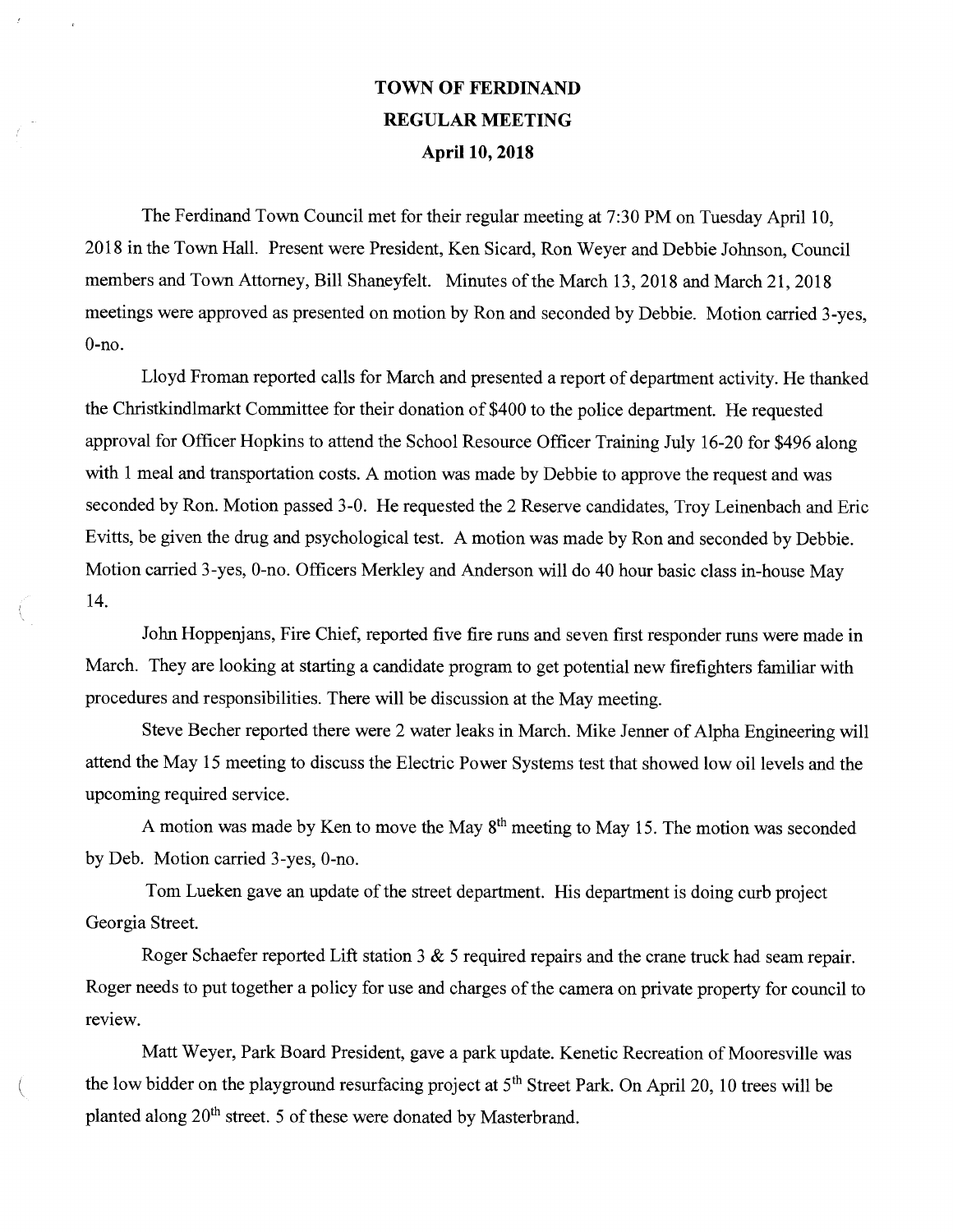## TOWN OF FERDINAND REGULAR MEETING April 10, 2018

The Ferdinand Town Council met for their regular meeting at 7:30 PM on Tuesday April 10, 2018 in the Town Hall. Present were President, Ken Sicard, Ron Weyer and Debbie Johnson, Council members and Town Attorney, Bill Shaneyfelt. Minutes of the March 13, 2018 and March 21, 2018 meetings were approved as presented on motion by Ron and seconded by Debbie. Motion carried 3-yes, 0-no.

Lloyd Froman reported calls for March and presented a report of department activity. He thanked the Christkindlmarkt Committee for their donation of \$400 to the police department. He requested approval for Officer Hopkins to attend the School Resource Officer Training July 16-20 for \$496 along with 1 meal and transportation costs. A motion was made by Debbie to approve the request and was seconded by Ron. Motion passed 3-0. He requested the 2 Reserve candidates, Troy Leinenbach and Eric Evitts, be given the drug and psychological test. A motion was made by Ron and seconded by Debbie. Motion carried 3-yes, 0-no. Officers Merkley and Anderson will do 40 hour basic class in-house May 14.

John Hoppenjans, Fire Chief, reported five fire runs and seven first responder runs were made in March. They are looking at starting a candidate program to get potential new firefighters familiar with procedures and responsibilities. There will be discussion at the May meeting.

Steve Becher reported there were 2 water leaks in March. Mike Jenner of Alpha Engineering will attend the May 15 meeting to discuss the Electric Power Systems test that showed low oil levels and the upcoming required service.

A motion was made by Ken to move the May  $8<sup>th</sup>$  meeting to May 15. The motion was seconded by Deb. Motion carried 3-yes, 0-no.

Tom Lueken gave an update of the street department. His department is doing curb project Georgia Street.

Roger Schaefer reported Lift station 3 & 5 required repairs and the crane truck had seam repair. Roger needs to put together a policy for use and charges of the camera on private property for council to review.

Matt Weyer, Park Board President, gave a park update. Kenetic Recreation of Mooresville was the low bidder on the playground resurfacing project at  $5<sup>th</sup>$  Street Park. On April 20, 10 trees will be planted along  $20<sup>th</sup>$  street. 5 of these were donated by Masterbrand.

 $\left($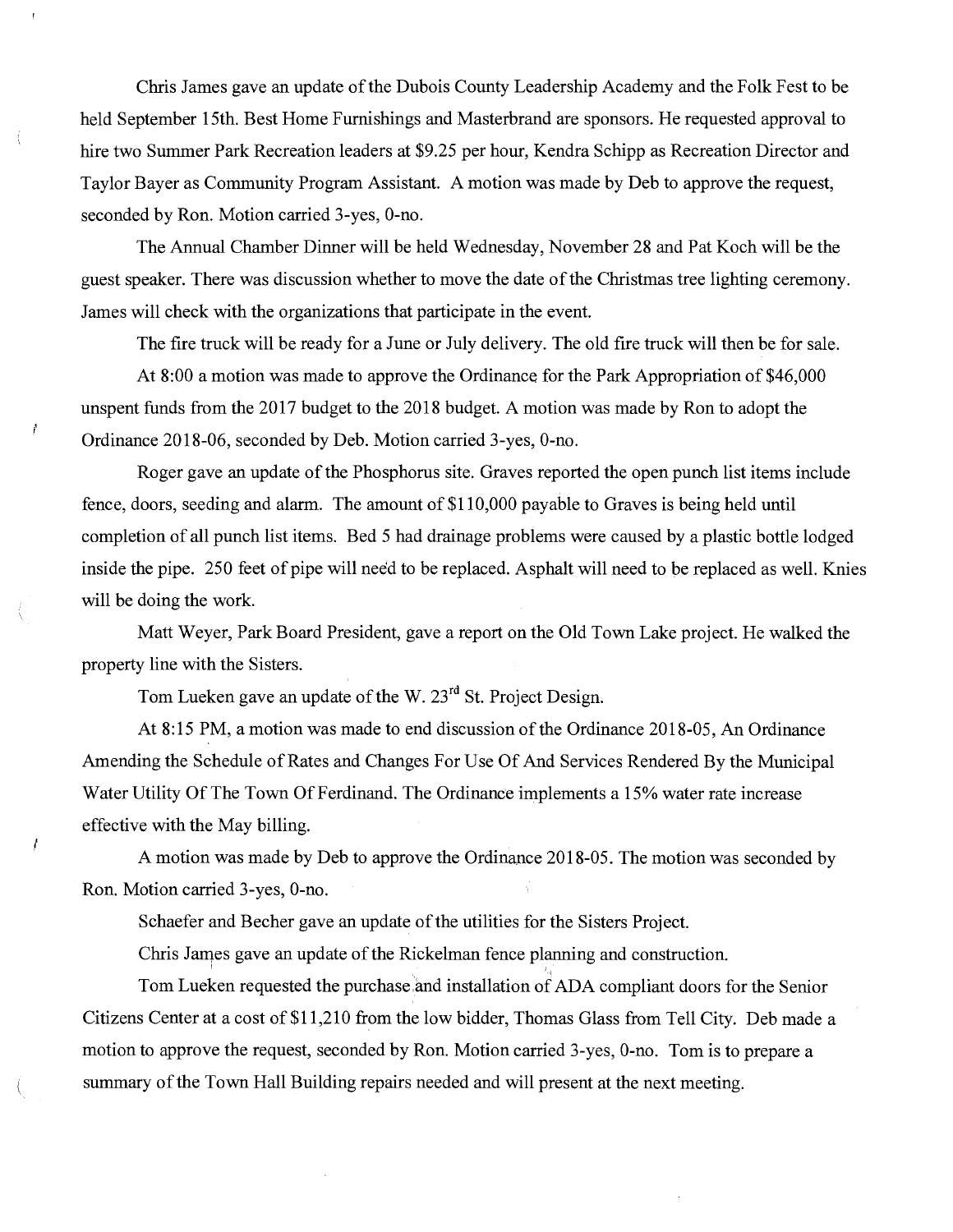Chris James gave an update of the Dubois County Leadership Academy and the Folk Fest to be held September 15th. Best Home Furnishings and Masterbrand are sponsors. He requested approval to hire two Summer Park Recreation leaders at \$9.25 per hour, Kendra Schipp as Recreation Director and Taylor Bayer as Community Program Assistant. A motion was made by Deb to approve the request, seconded by Ron. Motion carried 3-yes, 0-no.

The Armual Chamber Dinner will be held Wednesday, November 28 and Pat Koch will be the guest speaker. There was discussion whether to move the date of the Christmas tree lighting ceremony. James will check with the organizations that participate in the event.

The fire truck will be ready for a June or July delivery. The old fire truck will then be for sale.

At 8:00 a motion was made to approve the Ordinance for the Park Appropriation of \$46,000 unspent funds from the 2017 budget to the 2018 budget. A motion was made by Ron to adopt the Ordinance 2018-06, seconded by Deb. Motion carried 3-yes, 0-no.

Roger gave an update of the Phosphorus site. Graves reported the open punch list items include fence, doors, seeding and alarm. The amount of \$110,000 payable to Graves is being held until completion of all punch list items. Bed 5 had drainage problems were caused by a plastic bottle lodged inside the pipe. 250 feet of pipe will need to be replaced. Asphalt will need to be replaced as well. Knies will be doing the work.

Matt Weyer, Park Board President, gave a report on the Old Town Lake project. He walked the property line with the Sisters.

Tom Lueken gave an update of the W. 23<sup>rd</sup> St. Project Design.

 $\prime$ 

At 8:15 PM, a motion was made to end discussion of the Ordinance 2018-05, An Ordinance Amending the Schedule of Rates and Changes For Use Of And Services Rendered By the Municipal Water Utility Of The Town Of Ferdinand. The Ordinance implements a 15% water rate increase effective with the May billing.

A motion was made by Deb to approve the Ordinance 2018-05. The motion was seconded by Ron. Motion carried 3-yes, 0-no.

Schaefer and Becher gave an update of the utilities for the Sisters Project.

Chris James gave an update of the Rickelman fence planning and construction.

Tom Lueken requested the purchase and installation of ADA compliant doors for the Senior Citizens Center at a cost of \$11,210 from the low bidder, Thomas Glass from Tell City. Deb made a motion to approve the request, seconded by Ron. Motion carried 3-yes, 0-no. Tom is to prepare a summary of the Town Hall Building repairs needed and will present at the next meeting.